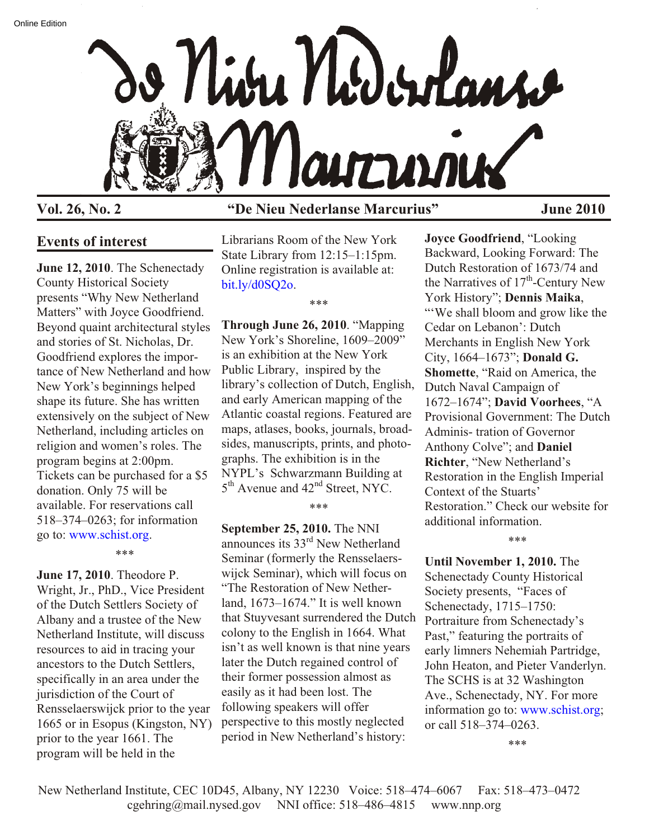

# **Vol. 26, No. 2 "De Nieu Nederlanse Marcurius" June 2010**

## **Events of interest**

**June 12, 2010**. The Schenectady County Historical Society presents "Why New Netherland Matters" with Joyce Goodfriend. Beyond quaint architectural styles and stories of St. Nicholas, Dr. Goodfriend explores the importance of New Netherland and how New York's beginnings helped shape its future. She has written extensively on the subject of New Netherland, including articles on religion and women's roles. The program begins at 2:00pm. Tickets can be purchased for a \$5 donation. Only 75 will be available. For reservations call 518–374–0263; for information go to: [www.schist.org](http://www.schist.org).

**June 17, 2010**. Theodore P. Wright, Jr., PhD., Vice President of the Dutch Settlers Society of Albany and a trustee of the New Netherland Institute, will discuss resources to aid in tracing your ancestors to the Dutch Settlers, specifically in an area under the jurisdiction of the Court of Rensselaerswijck prior to the year 1665 or in Esopus (Kingston, NY) prior to the year 1661. The program will be held in the

\*\*\*

Librarians Room of the New York State Library from 12:15–1:15pm. Online registration is available at: bit.ly/d0SO2o.

\*\*\*

**Through June 26, 2010**. "Mapping New York's Shoreline, 1609–2009" is an exhibition at the New York Public Library, inspired by the library's collection of Dutch, English, and early American mapping of the Atlantic coastal regions. Featured are maps, atlases, books, journals, broadsides, manuscripts, prints, and photographs. The exhibition is in the NYPL's Schwarzmann Building at 5<sup>th</sup> Avenue and 42<sup>nd</sup> Street, NYC.

\*\*\*

**September 25, 2010.** The NNI announces its 33rd New Netherland Seminar (formerly the Rensselaerswijck Seminar), which will focus on "The Restoration of New Netherland, 1673–1674." It is well known that Stuyvesant surrendered the Dutch colony to the English in 1664. What isn't as well known is that nine years later the Dutch regained control of their former possession almost as easily as it had been lost. The following speakers will offer perspective to this mostly neglected period in New Netherland's history:

**Joyce Goodfriend**, "Looking Backward, Looking Forward: The Dutch Restoration of 1673/74 and the Narratives of  $17<sup>th</sup>$ -Century New York History"; **Dennis Maika**, "'We shall bloom and grow like the Cedar on Lebanon': Dutch Merchants in English New York City, 1664–1673"; **Donald G. Shomette**, "Raid on America, the Dutch Naval Campaign of 1672–1674"; **David Voorhees**, "A Provisional Government: The Dutch Adminis- tration of Governor Anthony Colve"; and **Daniel Richter**, "New Netherland's Restoration in the English Imperial Context of the Stuarts' Restoration." Check our website for additional information.

**Until November 1, 2010.** The Schenectady County Historical Society presents, "Faces of Schenectady, 1715–1750: Portraiture from Schenectady's Past," featuring the portraits of early limners Nehemiah Partridge, John Heaton, and Pieter Vanderlyn. The SCHS is at 32 Washington Ave., Schenectad[y, NY. For more](http://www.schist.org) information go to: www.schist.org; or call 518–374–0263.

\*\*\*

\*\*\*

New Netherland Institute, CEC 10D45, Albany, NY 12230 Voice: 518–474–6067 Fax: 518–473–0472 cgehring@mail.nysed.gov NNI office: 518–486–4815 www.nnp.org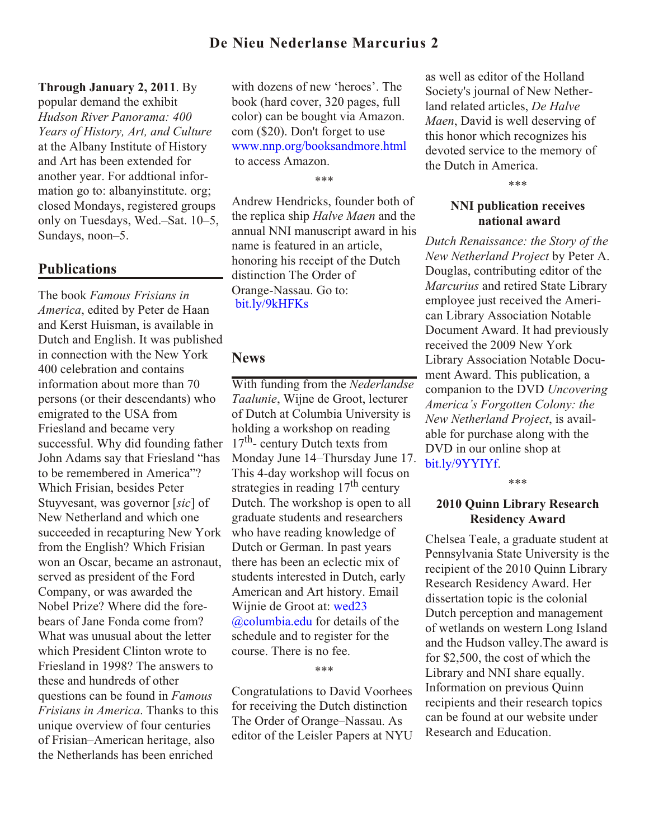#### **Through January 2, 2011**. By

popular demand the exhibit *Hudson River Panorama: 400 Years of History, Art, and Culture* at the Albany Institute of History and Art has been extended for another year. For addtional information go to: albanyinstitute. org; closed Mondays, registered groups only on Tuesdays, Wed.–Sat. 10–5, Sundays, noon–5.

#### **Publications**

The book *Famous Frisians in America*, edited by Peter de Haan and Kerst Huisman, is available in Dutch and English. It was published in connection with the New York 400 celebration and contains information about more than 70 persons (or their descendants) who emigrated to the USA from Friesland and became very successful. Why did founding father John Adams say that Friesland "has to be remembered in America"? Which Frisian, besides Peter Stuyvesant, was governor [*sic*] of New Netherland and which one succeeded in recapturing New York from the English? Which Frisian won an Oscar, became an astronaut, served as president of the Ford Company, or was awarded the Nobel Prize? Where did the forebears of Jane Fonda come from? What was unusual about the letter which President Clinton wrote to Friesland in 1998? The answers to these and hundreds of other questions can be found in *Famous Frisians in America*. Thanks to this unique overview of four centuries of Frisian–American heritage, also the Netherlands has been enriched

with dozens of new 'heroes'. The book (hard cover, 320 pages, full color) can be bought via Amazon. com (\$20). Don't forget to use [www.nnp.org/booksandmore.html](http://www.nnp.org/booksandmore.html) to access Amazon.

\*\*\*

Andrew Hendricks, founder both of the replica ship *Halve Maen* and the annual NNI manuscript award in his name is featured in an article, honoring his receipt of the Dutch distinction The Order of Orange-Nassau. Go to: [bit.ly/9kHFKs](http://bit.ly/9kHFKs)

#### **News**

With funding from the *Nederlandse Taalunie*, Wijne de Groot, lecturer of Dutch at Columbia University is holding a workshop on reading 17<sup>th</sup>- century Dutch texts from Monday June 14–Thursday June 17. This 4-day workshop will focus on strategies in reading  $17<sup>th</sup>$  century Dutch. The workshop is open to all graduate students and researchers who have reading knowledge of Dutch or German. In past years there has been an eclectic mix of students interested in Dutch, early American and Art history. Email [Wijnie de Groot at: wed23](mailto:wed23@columbia.edu) @columbia.edu for details of the schedule and to register for the course. There is no fee.

\*\*\*

Congratulations to David Voorhees for receiving the Dutch distinction The Order of Orange–Nassau. As editor of the Leisler Papers at NYU

as well as editor of the Holland Society's journal of New Netherland related articles, *De Halve Maen*, David is well deserving of this honor which recognizes his devoted service to the memory of the Dutch in America.

\*\*\*

### **NNI publication receives national award**

*Dutch Renaissance: the Story of the New Netherland Project* by Peter A. Douglas, contributing editor of the *Marcurius* and retired State Library employee just received the American Library Association Notable Document Award. It had previously received the 2009 New York Library Association Notable Document Award. This publication, a companion to the DVD *Uncovering America's Forgotten Colony: the New Netherland Project*, is available for purchase along with the DVD in our online shop at [bit.ly/9YYIYf](http://bit.ly/9YYIYf).

\*\*\*

#### **2010 Quinn Library Research Residency Award**

Chelsea Teale, a graduate student at Pennsylvania State University is the recipient of the 2010 Quinn Library Research Residency Award. Her dissertation topic is the colonial Dutch perception and management of wetlands on western Long Island and the Hudson valley.The award is for \$2,500, the cost of which the Library and NNI share equally. Information on previous Quinn recipients and their research topics can be found at our website under Research and Education.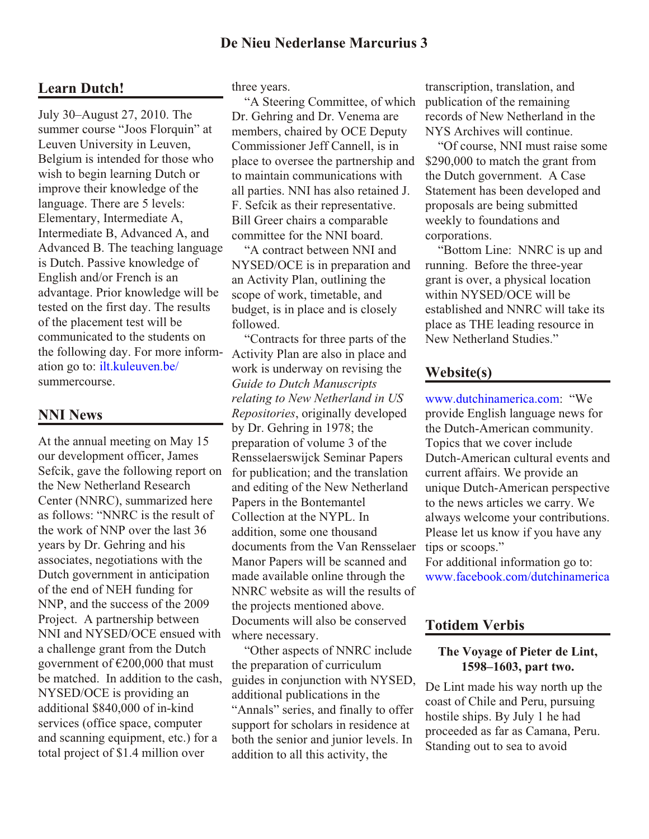# **Learn Dutch!**

July 30–August 27, 2010. The summer course "Joos Florquin" at Leuven University in Leuven, Belgium is intended for those who wish to begin learning Dutch or improve their knowledge of the language. There are 5 levels: Elementary, Intermediate A, Intermediate B, Advanced A, and Advanced B. The teaching language is Dutch. Passive knowledge of English and/or French is an advantage. Prior knowledge will be tested on the first day. The results of the placement test will be communicated to the students on the following day. For more information go to[: ilt.kuleuven.be/](http://ilt.kuleuven.be/) summercourse.

## **NNI News**

At the annual meeting on May 15 our development officer, James Sefcik, gave the following report on the New Netherland Research Center (NNRC), summarized here as follows: "NNRC is the result of the work of NNP over the last 36 years by Dr. Gehring and his associates, negotiations with the Dutch government in anticipation of the end of NEH funding for NNP, and the success of the 2009 Project. A partnership between NNI and NYSED/OCE ensued with a challenge grant from the Dutch government of  $\epsilon$ 200,000 that must be matched. In addition to the cash, NYSED/OCE is providing an additional \$840,000 of in-kind services (office space, computer and scanning equipment, etc.) for a total project of \$1.4 million over

three years.

 "A Steering Committee, of which Dr. Gehring and Dr. Venema are members, chaired by OCE Deputy Commissioner Jeff Cannell, is in place to oversee the partnership and to maintain communications with all parties. NNI has also retained J. F. Sefcik as their representative. Bill Greer chairs a comparable committee for the NNI board.

 "A contract between NNI and NYSED/OCE is in preparation and an Activity Plan, outlining the scope of work, timetable, and budget, is in place and is closely followed.

 "Contracts for three parts of the Activity Plan are also in place and work is underway on revising the *Guide to Dutch Manuscripts relating to New Netherland in US Repositories*, originally developed by Dr. Gehring in 1978; the preparation of volume 3 of the Rensselaerswijck Seminar Papers for publication; and the translation and editing of the New Netherland Papers in the Bontemantel Collection at the NYPL. In addition, some one thousand documents from the Van Rensselaer Manor Papers will be scanned and made available online through the NNRC website as will the results of the projects mentioned above. Documents will also be conserved where necessary.

 "Other aspects of NNRC include the preparation of curriculum guides in conjunction with NYSED, additional publications in the "Annals" series, and finally to offer support for scholars in residence at both the senior and junior levels. In addition to all this activity, the

transcription, translation, and publication of the remaining records of New Netherland in the NYS Archives will continue.

 "Of course, NNI must raise some \$290,000 to match the grant from the Dutch government. A Case Statement has been developed and proposals are being submitted weekly to foundations and corporations.

 "Bottom Line: NNRC is up and running. Before the three-year grant is over, a physical location within NYSED/OCE will be established and NNRC will take its place as THE leading resource in New Netherland Studies."

## **Website(s)**

[www.dutchinamerica.com:](http://www.dutchinamerica.com) "We provide English language news for the Dutch-American community. Topics that we cover include Dutch-American cultural events and current affairs. We provide an unique Dutch-American perspective to the news articles we carry. We always welcome your contributions. Please let us know if you have any tips or scoops." For additional information go to:

[www.facebook.com/dutchinamerica](http://www.facebook.com/dutchinamerica)

## **Totidem Verbis**

#### **The Voyage of Pieter de Lint, 1598–1603, part two.**

De Lint made his way north up the coast of Chile and Peru, pursuing hostile ships. By July 1 he had proceeded as far as Camana, Peru. Standing out to sea to avoid